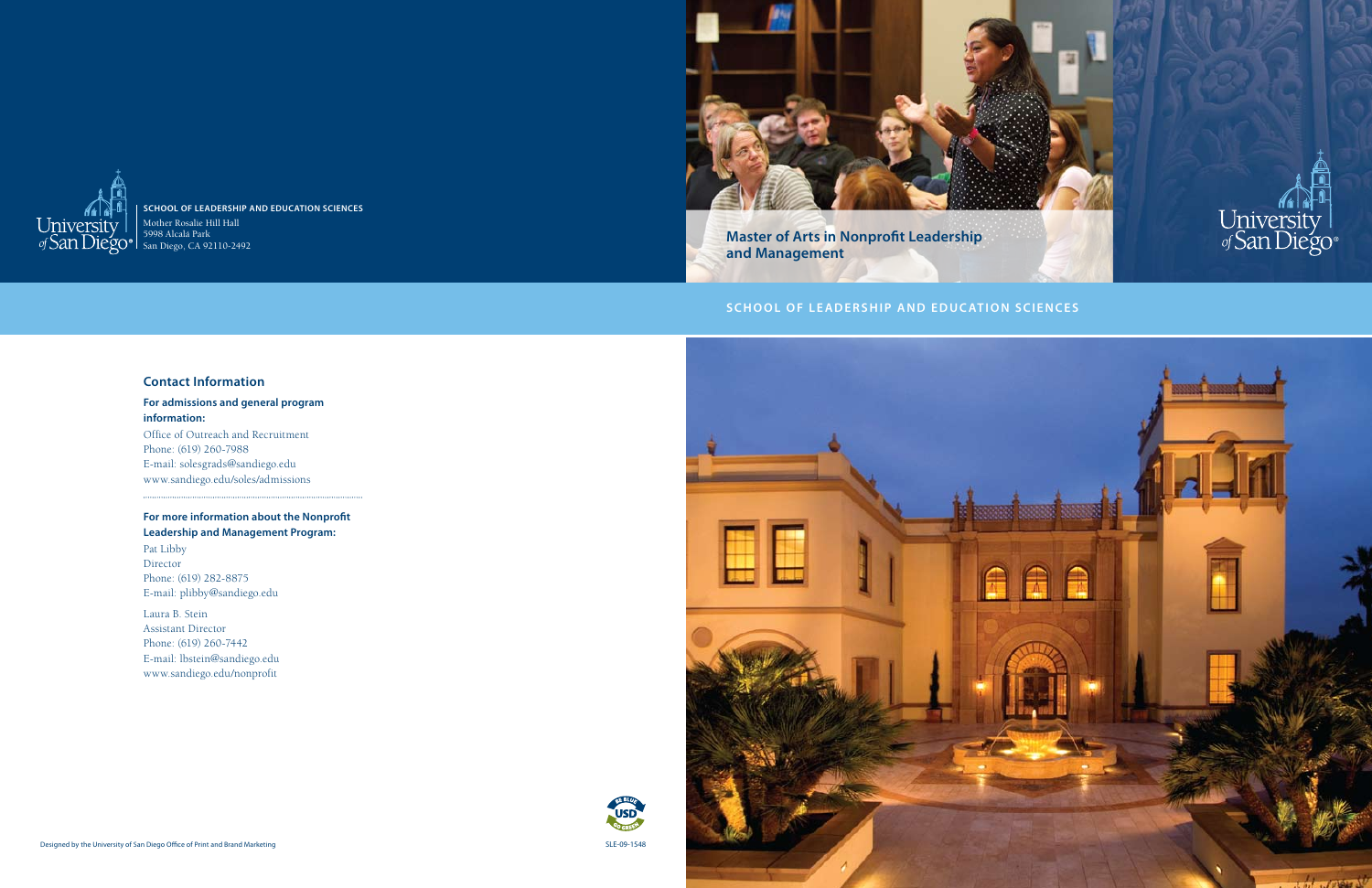



**School of Leadership and Education Sciences** Mother Rosalie Hill Hall 5998 Alcalá Park



San Diego, CA 92110-2492

**Master of Arts in Nonprofit Leadership and Management**

# **SCHOOL OF LEADERSHIP AND EDUCATION SCIENCES**

#### **Contact Information**

#### **For admissions and general program information:**

Office of Outreach and Recruitment Phone: (619) 260-7988 E-mail: solesgrads@sandiego.edu www.sandiego.edu/soles/admissions

### **For more information about the Nonprofit Leadership and Management Program:**

Pat Libby Director Phone: (619) 282-8875 E-mail: plibby@sandiego.edu

Laura B. Stein Assistant Director Phone: (619) 260-7442 E-mail: lbstein@sandiego.edu www.sandiego.edu/nonprofit